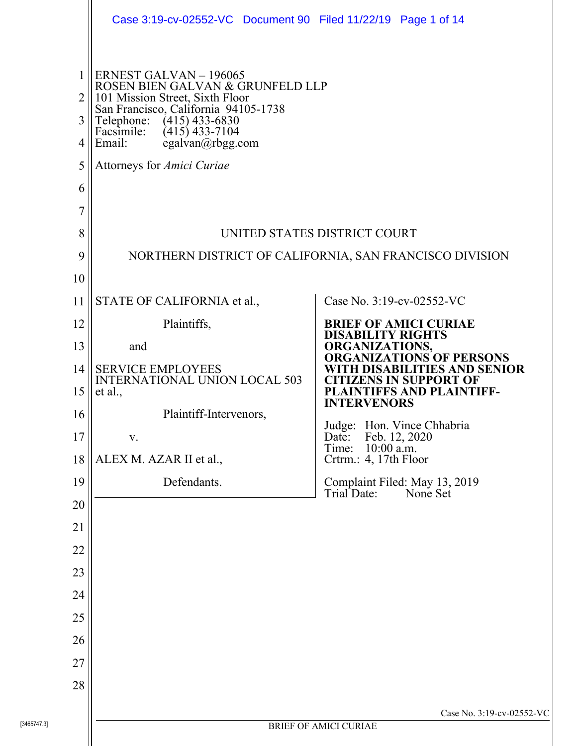|                                                        | Case 3:19-cv-02552-VC Document 90 Filed 11/22/19 Page 1 of 14                                                                                                                                                                                                         |                                                                                         |  |  |
|--------------------------------------------------------|-----------------------------------------------------------------------------------------------------------------------------------------------------------------------------------------------------------------------------------------------------------------------|-----------------------------------------------------------------------------------------|--|--|
| 1<br>$\overline{2}$<br>3<br>4<br>5<br>6<br>7<br>8<br>9 | ERNEST GALVAN - 196065<br>ROSEN BIEN GALVAN & GRUNFELD LLP<br>101 Mission Street, Sixth Floor<br>San Francisco, California 94105-1738<br>Telephone:<br>Facsimile:<br>$(415)$ 433-6830<br>$(415)$ 433-7104<br>Email:<br>egalvan@rbgg.com<br>Attorneys for Amici Curiae | UNITED STATES DISTRICT COURT<br>NORTHERN DISTRICT OF CALIFORNIA, SAN FRANCISCO DIVISION |  |  |
| 10                                                     |                                                                                                                                                                                                                                                                       |                                                                                         |  |  |
| 11                                                     | STATE OF CALIFORNIA et al.,                                                                                                                                                                                                                                           | Case No. 3:19-cv-02552-VC                                                               |  |  |
| 12                                                     | Plaintiffs,                                                                                                                                                                                                                                                           | <b>BRIEF OF AMICI CURIAE</b><br><b>DISABILITY RIGHTS</b>                                |  |  |
| 13                                                     | and                                                                                                                                                                                                                                                                   | ORGANIZATIONS,<br><b>ORGANIZATIONS OF PERSONS</b>                                       |  |  |
| 14                                                     | <b>SERVICE EMPLOYEES</b><br><b>INTERNATIONAL UNION LOCAL 503</b>                                                                                                                                                                                                      | WITH DISABILITIES AND SENIOR<br><b>CITIZENS IN SUPPORT OF</b>                           |  |  |
| 15                                                     | et al.,                                                                                                                                                                                                                                                               | <b>PLAINTIFFS AND PLAINTIFF-</b><br><b>INTERVENORS</b>                                  |  |  |
| 16                                                     | Plaintiff-Intervenors,                                                                                                                                                                                                                                                | Judge: Hon. Vince Chhabria                                                              |  |  |
| 17                                                     | V.                                                                                                                                                                                                                                                                    | Feb. 12, 2020<br>Date:<br>Time:<br>$10:00$ a.m.                                         |  |  |
| 18                                                     | ALEX M. AZAR II et al.,<br>Defendants.                                                                                                                                                                                                                                | Crtrm.: 4, 17th Floor                                                                   |  |  |
| 19<br>20                                               |                                                                                                                                                                                                                                                                       | Complaint Filed: May 13, 2019<br>Trial Date:<br>None Set                                |  |  |
| 21                                                     |                                                                                                                                                                                                                                                                       |                                                                                         |  |  |
| 22                                                     |                                                                                                                                                                                                                                                                       |                                                                                         |  |  |
| 23                                                     |                                                                                                                                                                                                                                                                       |                                                                                         |  |  |
| 24                                                     |                                                                                                                                                                                                                                                                       |                                                                                         |  |  |
| 25                                                     |                                                                                                                                                                                                                                                                       |                                                                                         |  |  |
| 26                                                     |                                                                                                                                                                                                                                                                       |                                                                                         |  |  |
| 27                                                     |                                                                                                                                                                                                                                                                       |                                                                                         |  |  |
| 28                                                     |                                                                                                                                                                                                                                                                       |                                                                                         |  |  |
|                                                        |                                                                                                                                                                                                                                                                       | Case No. 3:19-cv-02552-VC                                                               |  |  |
| 3465747.31                                             |                                                                                                                                                                                                                                                                       | <b>BRIEF OF AMICI CURIAE</b>                                                            |  |  |

ll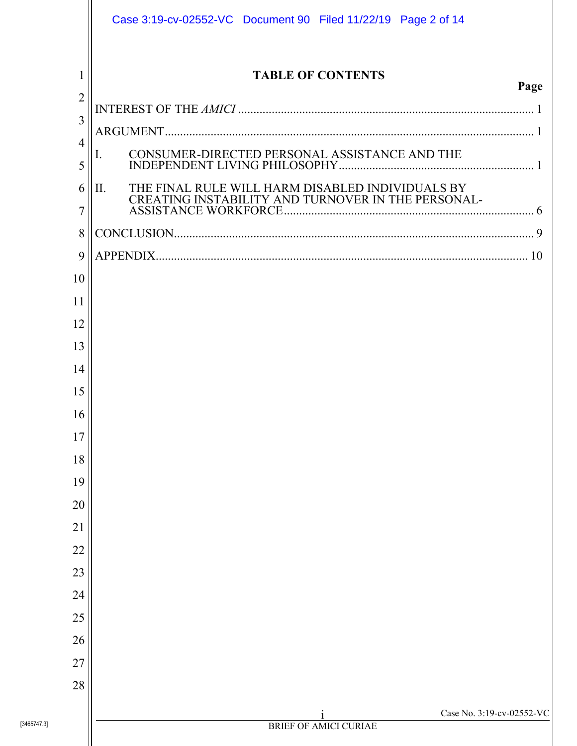|                                       | Case 3:19-cv-02552-VC Document 90 Filed 11/22/19 Page 2 of 14                                                 |
|---------------------------------------|---------------------------------------------------------------------------------------------------------------|
| 1<br>$\overline{2}$<br>$\overline{3}$ | <b>TABLE OF CONTENTS</b><br>Page                                                                              |
| $\overline{4}$<br>5                   | CONSUMER-DIRECTED PERSONAL ASSISTANCE AND THE                                                                 |
| 6<br>$\overline{7}$                   | THE FINAL RULE WILL HARM DISABLED INDIVIDUALS BY<br>IІ.<br>CREATING INSTABILITY AND TURNOVER IN THE PERSONAL- |
| 8                                     |                                                                                                               |
| 9                                     |                                                                                                               |
| 10                                    |                                                                                                               |
| 11                                    |                                                                                                               |
| 12                                    |                                                                                                               |
| 13                                    |                                                                                                               |
| 14                                    |                                                                                                               |
| 15                                    |                                                                                                               |
| 16                                    |                                                                                                               |
| 17                                    |                                                                                                               |
| 18                                    |                                                                                                               |
| 19                                    |                                                                                                               |
| 20<br>21                              |                                                                                                               |
| 22                                    |                                                                                                               |
| 23                                    |                                                                                                               |
| 24                                    |                                                                                                               |
| 25                                    |                                                                                                               |
| 26                                    |                                                                                                               |
| 27                                    |                                                                                                               |
| 28                                    |                                                                                                               |
|                                       | Case No. 3:19-cv-02552-VC                                                                                     |
| [3465747.3]                           | <b>BRIEF OF AMICI CURIAE</b>                                                                                  |
|                                       |                                                                                                               |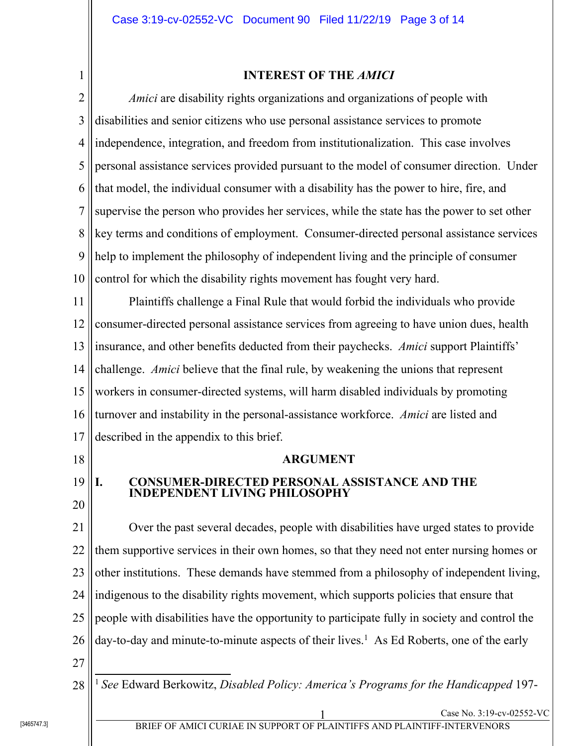# 1

### **INTEREST OF THE** *AMICI*

2 3 4 5 6 7 8 9 10 *Amici* are disability rights organizations and organizations of people with disabilities and senior citizens who use personal assistance services to promote independence, integration, and freedom from institutionalization. This case involves personal assistance services provided pursuant to the model of consumer direction. Under that model, the individual consumer with a disability has the power to hire, fire, and supervise the person who provides her services, while the state has the power to set other key terms and conditions of employment. Consumer-directed personal assistance services help to implement the philosophy of independent living and the principle of consumer control for which the disability rights movement has fought very hard.

11 12 13 14 15 16 17 Plaintiffs challenge a Final Rule that would forbid the individuals who provide consumer-directed personal assistance services from agreeing to have union dues, health insurance, and other benefits deducted from their paychecks. *Amici* support Plaintiffs' challenge. *Amici* believe that the final rule, by weakening the unions that represent workers in consumer-directed systems, will harm disabled individuals by promoting turnover and instability in the personal-assistance workforce. *Amici* are listed and described in the appendix to this brief.

18

### **ARGUMENT**

#### 19 20 **I. CONSUMER-DIRECTED PERSONAL ASSISTANCE AND THE INDEPENDENT LIVING PHILOSOPHY**

21 22 23 24 25 26 27 Over the past several decades, people with disabilities have urged states to provide them supportive services in their own homes, so that they need not enter nursing homes or other institutions. These demands have stemmed from a philosophy of independent living, indigenous to the disability rights movement, which supports policies that ensure that people with disabilities have the opportunity to participate fully in society and control the day-to-day and minute-to-minute aspects of their lives.<sup>1</sup> As Ed Roberts, one of the early

28  $\overline{\phantom{a}}$ <sup>1</sup> *See* Edward Berkowitz, *Disabled Policy: America's Programs for the Handicapped* 197-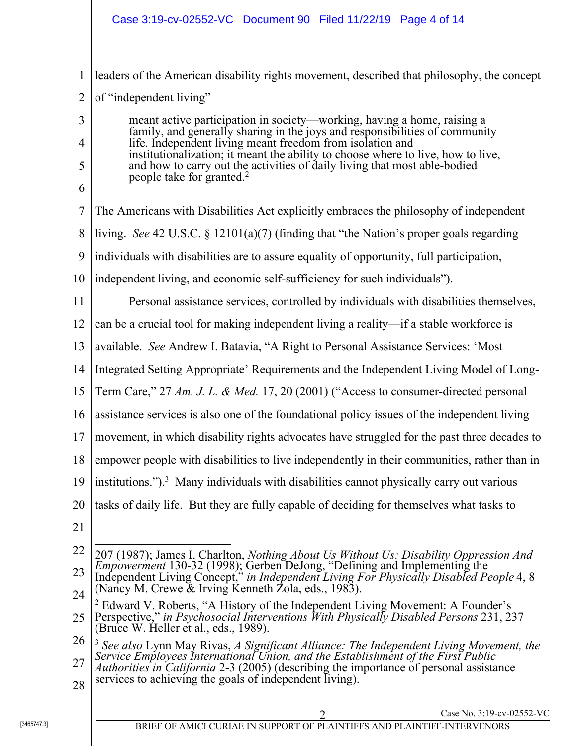1 2 leaders of the American disability rights movement, described that philosophy, the concept of "independent living"

meant active participation in society—working, having a home, raising a family, and generally sharing in the joys and responsibilities of community life. Independent living meant freedom from isolation and institutionalization; it meant the ability to choose where to live, how to live, and how to carry out the activities of daily living that most able-bodied people take for granted.<sup>2</sup>

- 7 8 9 10 11 12 13 14 15 16 17 18 19 20 The Americans with Disabilities Act explicitly embraces the philosophy of independent living. *See* 42 U.S.C. § 12101(a)(7) (finding that "the Nation's proper goals regarding individuals with disabilities are to assure equality of opportunity, full participation, independent living, and economic self-sufficiency for such individuals"). Personal assistance services, controlled by individuals with disabilities themselves, can be a crucial tool for making independent living a reality—if a stable workforce is available. *See* Andrew I. Batavia, "A Right to Personal Assistance Services: 'Most Integrated Setting Appropriate' Requirements and the Independent Living Model of Long-Term Care," 27 *Am. J. L. & Med.* 17, 20 (2001) ("Access to consumer-directed personal assistance services is also one of the foundational policy issues of the independent living movement, in which disability rights advocates have struggled for the past three decades to empower people with disabilities to live independently in their communities, rather than in institutions.").<sup>3</sup> Many individuals with disabilities cannot physically carry out various tasks of daily life. But they are fully capable of deciding for themselves what tasks to
- 21

3

4

5

6

- 22 23  $\overline{a}$ 207 (1987); James I. Charlton, *Nothing About Us Without Us: Disability Oppression And Empowerment* 130-32 (1998); Gerben DeJong, "Defining and Implementing the Independent Living Concept," *in Independent Living For Physically Disabled People* 4, 8 (Nancy M. Crewe & Irving Kenneth Zola, eds., 1983).
- 24 25 <sup>2</sup> Edward V. Roberts, "A History of the Independent Living Movement: A Founder's Perspective," *in Psychosocial Interventions With Physically Disabled Persons* 231, 237 (Bruce W. Heller et al., eds., 1989).
- 26 27 <sup>3</sup> *See also* Lynn May Rivas, *A Significant Alliance: The Independent Living Movement, the Service Employees International Union, and the Establishment of the First Public Authorities in California* 2-3 (2005) (describing the importance of personal assistance
- 28 services to achieving the goals of independent living).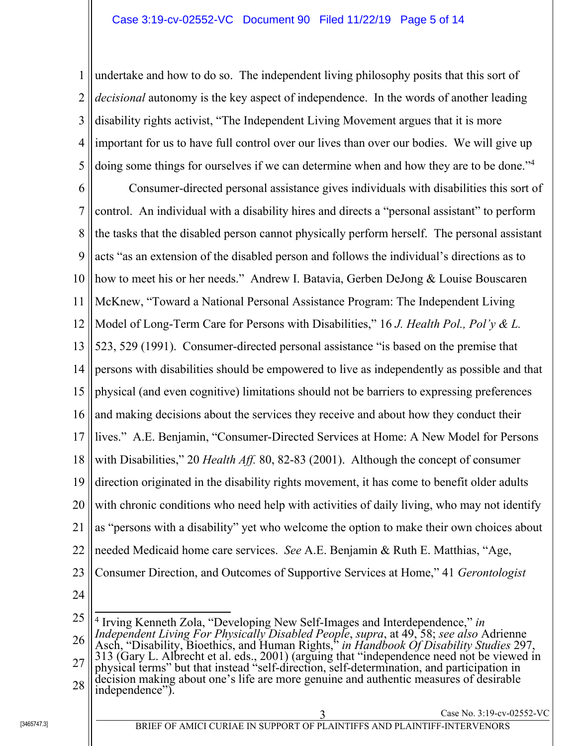1 2 3 4 5 undertake and how to do so. The independent living philosophy posits that this sort of *decisional* autonomy is the key aspect of independence. In the words of another leading disability rights activist, "The Independent Living Movement argues that it is more important for us to have full control over our lives than over our bodies. We will give up doing some things for ourselves if we can determine when and how they are to be done."<sup>4</sup>

6 7 8 9 10 11 12 13 14 15 16 17 18 19 20 21 22 23 Consumer-directed personal assistance gives individuals with disabilities this sort of control. An individual with a disability hires and directs a "personal assistant" to perform the tasks that the disabled person cannot physically perform herself. The personal assistant acts "as an extension of the disabled person and follows the individual's directions as to how to meet his or her needs." Andrew I. Batavia, Gerben DeJong & Louise Bouscaren McKnew, "Toward a National Personal Assistance Program: The Independent Living Model of Long-Term Care for Persons with Disabilities," 16 *J. Health Pol., Pol'y & L.* 523, 529 (1991). Consumer-directed personal assistance "is based on the premise that persons with disabilities should be empowered to live as independently as possible and that physical (and even cognitive) limitations should not be barriers to expressing preferences and making decisions about the services they receive and about how they conduct their lives." A.E. Benjamin, "Consumer-Directed Services at Home: A New Model for Persons with Disabilities," 20 *Health Aff.* 80, 82-83 (2001). Although the concept of consumer direction originated in the disability rights movement, it has come to benefit older adults with chronic conditions who need help with activities of daily living, who may not identify as "persons with a disability" yet who welcome the option to make their own choices about needed Medicaid home care services. *See* A.E. Benjamin & Ruth E. Matthias, "Age, Consumer Direction, and Outcomes of Supportive Services at Home," 41 *Gerontologist*

24

<sup>25</sup> 26 27 28 [3465747.3] <sup>3</sup> Case No. 3:19-cv-02552-VC BRIEF OF AMICI CURIAE IN SUPPORT OF PLAINTIFFS AND PLAINTIFF-INTERVENORS 4 Irving Kenneth Zola, "Developing New Self-Images and Interdependence," *in Independent Living For Physically Disabled People*, *supra*, at 49, 58; *see also* Adrienne Asch, "Disability, Bioethics, and Human Rights," *in Handbook Of Disability Studies* 297, 313 (Gary L. Albrecht et al. eds., 2001) (arguing that "independence need not be viewed in physical terms" but that instead "self-direction, self-determination, and participation in decision making about one's life are more genuine and authentic measures of desirable independence").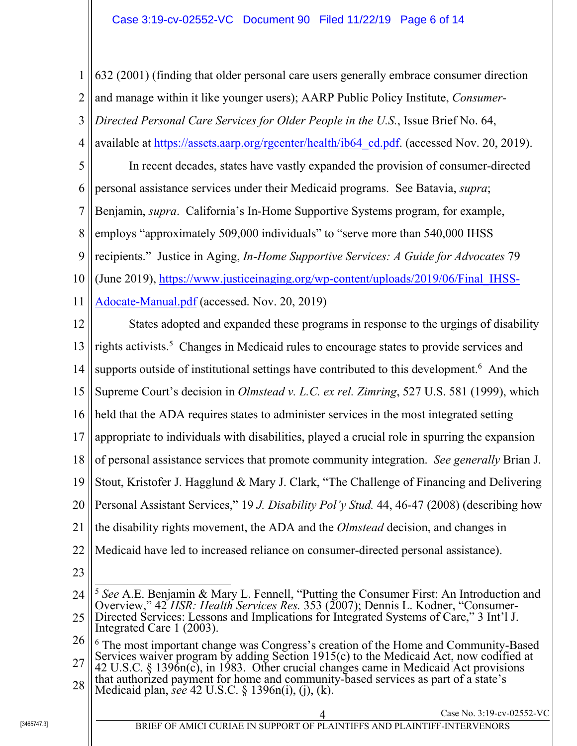1 2 3 4 5 6 7 8 9 10 11 12 13 14 15 16 17 18 19 20 21 22 23 24 25 26 27 28 [3465747.3] 4 Case No. 3:19-cv-02552-VC BRIEF OF AMICI CURIAE IN SUPPORT OF PLAINTIFFS AND PLAINTIFF-INTERVENORS 632 (2001) (finding that older personal care users generally embrace consumer direction and manage within it like younger users); AARP Public Policy Institute, *Consumer-Directed Personal Care Services for Older People in the U.S.*, Issue Brief No. 64, available at https://assets.aarp.org/rgcenter/health/ib64\_cd.pdf. (accessed Nov. 20, 2019). In recent decades, states have vastly expanded the provision of consumer-directed personal assistance services under their Medicaid programs. See Batavia, *supra*; Benjamin, *supra*. California's In-Home Supportive Systems program, for example, employs "approximately 509,000 individuals" to "serve more than 540,000 IHSS recipients." Justice in Aging, *In-Home Supportive Services: A Guide for Advocates* 79 (June 2019), https://www.justiceinaging.org/wp-content/uploads/2019/06/Final\_IHSS-Adocate-Manual.pdf (accessed. Nov. 20, 2019) States adopted and expanded these programs in response to the urgings of disability rights activists.<sup>5</sup> Changes in Medicaid rules to encourage states to provide services and supports outside of institutional settings have contributed to this development.<sup>6</sup> And the Supreme Court's decision in *Olmstead v. L.C. ex rel. Zimring*, 527 U.S. 581 (1999), which held that the ADA requires states to administer services in the most integrated setting appropriate to individuals with disabilities, played a crucial role in spurring the expansion of personal assistance services that promote community integration. *See generally* Brian J. Stout, Kristofer J. Hagglund & Mary J. Clark, "The Challenge of Financing and Delivering Personal Assistant Services," 19 *J. Disability Pol'y Stud.* 44, 46-47 (2008) (describing how the disability rights movement, the ADA and the *Olmstead* decision, and changes in Medicaid have led to increased reliance on consumer-directed personal assistance).  $\overline{a}$ <sup>5</sup> *See* A.E. Benjamin & Mary L. Fennell, "Putting the Consumer First: An Introduction and Overview," 42 *HSR: Health Services Res.* 353 (2007); Dennis L. Kodner, "Consumer-Directed Services: Lessons and Implications for Integrated Systems of Care," 3 Int'l J. Integrated Care 1 (2003). 6 The most important change was Congress's creation of the Home and Community-Based Services waiver program by adding Section 1915(c) to the Medicaid Act, now codified at 42 U.S.C. § 1396n(c), in 1983. Other crucial changes came in Medicaid Act provisions that authorized payment for home and community-based services as part of a state's Medicaid plan, *see* 42 U.S.C. § 1396n(i), (j), (k).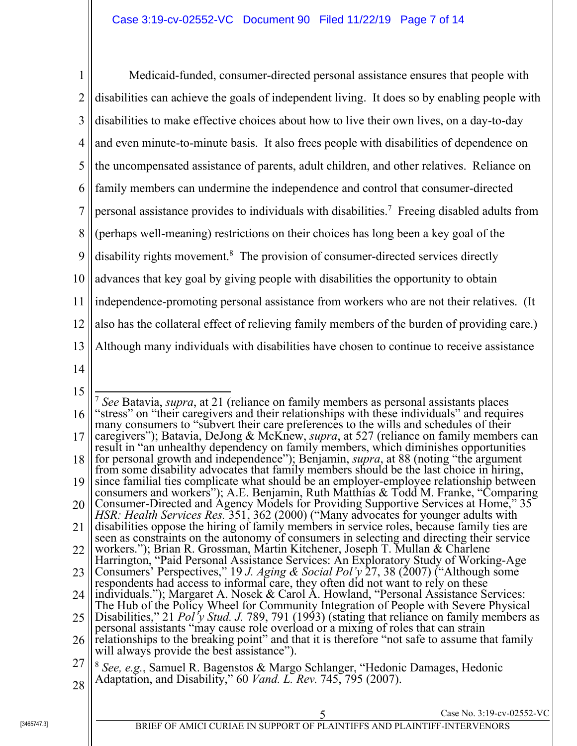1 2 3 4 5 6 7 8 9 10 11 12 13 14 15 16 17 18 Medicaid-funded, consumer-directed personal assistance ensures that people with disabilities can achieve the goals of independent living. It does so by enabling people with disabilities to make effective choices about how to live their own lives, on a day-to-day and even minute-to-minute basis. It also frees people with disabilities of dependence on the uncompensated assistance of parents, adult children, and other relatives. Reliance on family members can undermine the independence and control that consumer-directed personal assistance provides to individuals with disabilities.<sup>7</sup> Freeing disabled adults from (perhaps well-meaning) restrictions on their choices has long been a key goal of the disability rights movement.<sup>8</sup> The provision of consumer-directed services directly advances that key goal by giving people with disabilities the opportunity to obtain independence-promoting personal assistance from workers who are not their relatives. (It also has the collateral effect of relieving family members of the burden of providing care.) Although many individuals with disabilities have chosen to continue to receive assistance  $\overline{a}$ <sup>7</sup> *See* Batavia, *supra*, at 21 (reliance on family members as personal assistants places "stress" on "their caregivers and their relationships with these individuals" and requires many consumers to "subvert their care preferences to the wills and schedules of their caregivers"); Batavia, DeJong & McKnew, *supra*, at 527 (reliance on family members can result in "an unhealthy dependency on family members, which diminishes opportunities for personal growth and independence"); Benjamin, *supra*, at 88 (noting "the argument from some disability advocates that family members should be the last choice in hiring,

- 19 since familial ties complicate what should be an employer-employee relationship between consumers and workers"); A.E. Benjamin, Ruth Matthias & Todd M. Franke, "Comparing
- 20 21 Consumer-Directed and Agency Models for Providing Supportive Services at Home," 35 *HSR: Health Services Res.* 351, 362 (2000) ("Many advocates for younger adults with disabilities oppose the hiring of family members in service roles, because family ties are
- 22 seen as constraints on the autonomy of consumers in selecting and directing their service workers."); Brian R. Grossman, Martin Kitchener, Joseph T. Mullan & Charlene
- 23 Harrington, "Paid Personal Assistance Services: An Exploratory Study of Working-Age Consumers' Perspectives," 19 *J. Aging & Social Pol'y* 27, 38 (2007) ("Although some respondents had access to informal care, they often did not want to rely on these
- 24 individuals."); Margaret A. Nosek & Carol A. Howland, "Personal Assistance Services: The Hub of the Policy Wheel for Community Integration of People with Severe Physical
- 25 Disabilities," 21 *Pol'y Stud. J.* 789, 791 (1993) (stating that reliance on family members as personal assistants "may cause role overload or a mixing of roles that can strain
- 26 relationships to the breaking point" and that it is therefore "not safe to assume that family will always provide the best assistance").
- 27 28 <sup>8</sup> *See, e.g.*, Samuel R. Bagenstos & Margo Schlanger, "Hedonic Damages, Hedonic Adaptation, and Disability," 60 *Vand. L. Rev.* 745, 795 (2007).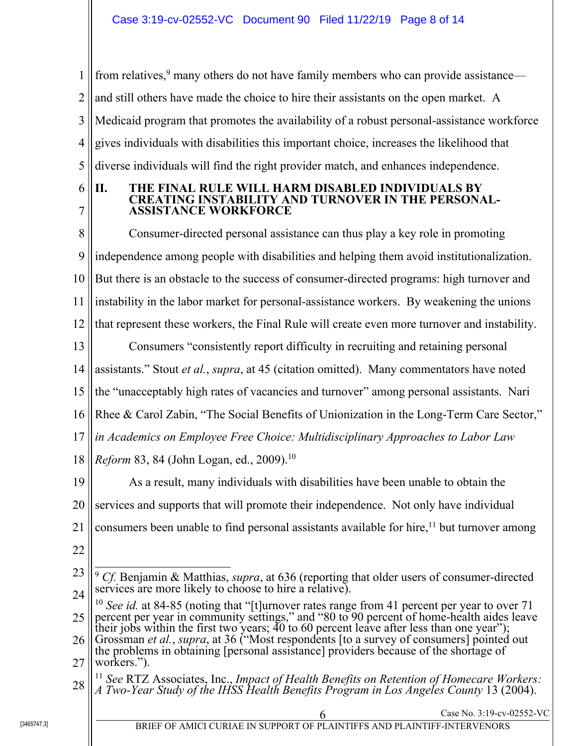1 2 3 4 5 from relatives,<sup>9</sup> many others do not have family members who can provide assistance and still others have made the choice to hire their assistants on the open market. A Medicaid program that promotes the availability of a robust personal-assistance workforce gives individuals with disabilities this important choice, increases the likelihood that diverse individuals will find the right provider match, and enhances independence.

6 7

### **II. THE FINAL RULE WILL HARM DISABLED INDIVIDUALS BY CREATING INSTABILITY AND TURNOVER IN THE PERSONAL-ASSISTANCE WORKFORCE**

8 9 10 11 12 13 14 15 16 17 18 19 20 21 22 Consumer-directed personal assistance can thus play a key role in promoting independence among people with disabilities and helping them avoid institutionalization. But there is an obstacle to the success of consumer-directed programs: high turnover and instability in the labor market for personal-assistance workers. By weakening the unions that represent these workers, the Final Rule will create even more turnover and instability. Consumers "consistently report difficulty in recruiting and retaining personal assistants." Stout *et al.*, *supra*, at 45 (citation omitted). Many commentators have noted the "unacceptably high rates of vacancies and turnover" among personal assistants. Nari Rhee & Carol Zabin, "The Social Benefits of Unionization in the Long-Term Care Sector," *in Academics on Employee Free Choice: Multidisciplinary Approaches to Labor Law Reform* 83, 84 (John Logan, ed., 2009).<sup>10</sup> As a result, many individuals with disabilities have been unable to obtain the services and supports that will promote their independence. Not only have individual consumers been unable to find personal assistants available for hire,<sup>11</sup> but turnover among

<sup>23</sup> 24  $\overline{a}$ <sup>9</sup> *Cf.* Benjamin & Matthias, *supra*, at 636 (reporting that older users of consumer-directed services are more likely to choose to hire a relative).

<sup>25</sup> <sup>10</sup> *See id.* at 84-85 (noting that "[t]urnover rates range from 41 percent per year to over 71 percent per year in community settings," and "80 to 90 percent of home-health aides leave their jobs within the first two years;  $\overline{40}$  to 60 percent leave after less than one year");

<sup>26</sup> 27 Grossman *et al.*, *supra*, at 36 ("Most respondents [to a survey of consumers] pointed out the problems in obtaining [personal assistance] providers because of the shortage of workers.").

<sup>28</sup> <sup>11</sup> *See* RTZ Associates, Inc., *Impact of Health Benefits on Retention of Homecare Workers: A Two-Year Study of the IHSS Health Benefits Program in Los Angeles County* 13 (2004).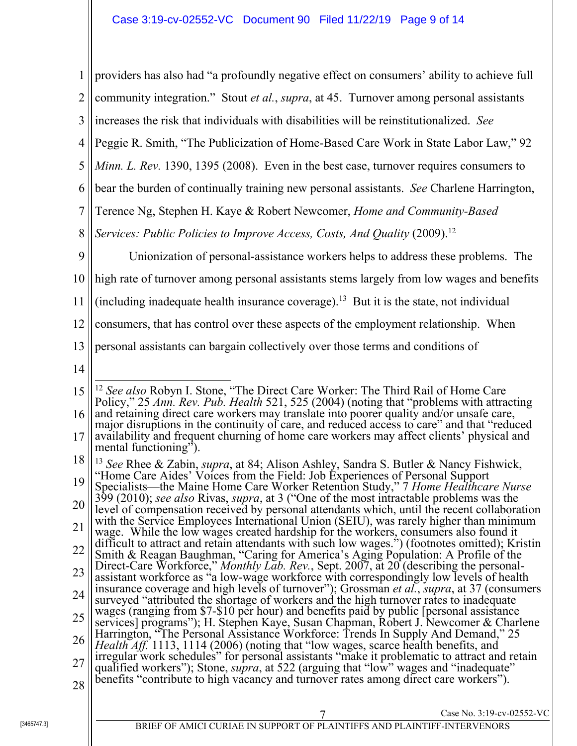1 2 3 4 5 6 7 8  $\overline{Q}$ 10 11 12 13 14 15 16 17 18 19 20 21 22 23 24 25 26 27 28 [3465747.3] <sup>7</sup> Case No. 3:19-cv-02552-VC BRIEF OF AMICI CURIAE IN SUPPORT OF PLAINTIFFS AND PLAINTIFF-INTERVENORS providers has also had "a profoundly negative effect on consumers' ability to achieve full community integration." Stout *et al.*, *supra*, at 45. Turnover among personal assistants increases the risk that individuals with disabilities will be reinstitutionalized. *See* Peggie R. Smith, "The Publicization of Home-Based Care Work in State Labor Law," 92 *Minn. L. Rev.* 1390, 1395 (2008). Even in the best case, turnover requires consumers to bear the burden of continually training new personal assistants. *See* Charlene Harrington, Terence Ng, Stephen H. Kaye & Robert Newcomer, *Home and Community-Based Services: Public Policies to Improve Access, Costs, And Quality* (2009).<sup>12</sup> Unionization of personal-assistance workers helps to address these problems. The high rate of turnover among personal assistants stems largely from low wages and benefits (including inadequate health insurance coverage).<sup>13</sup> But it is the state, not individual consumers, that has control over these aspects of the employment relationship. When personal assistants can bargain collectively over those terms and conditions of  $\overline{\phantom{a}}$ <sup>12</sup> *See also* Robyn I. Stone, "The Direct Care Worker: The Third Rail of Home Care Policy," 25 *Ann. Rev. Pub. Health* 521, 525 (2004) (noting that "problems with attracting and retaining direct care workers may translate into poorer quality and/or unsafe care, major disruptions in the continuity of care, and reduced access to care" and that "reduced availability and frequent churning of home care workers may affect clients' physical and mental functioning"). <sup>13</sup> *See* Rhee & Zabin, *supra*, at 84; Alison Ashley, Sandra S. Butler & Nancy Fishwick, "Home Care Aides' Voices from the Field: Job Experiences of Personal Support Specialists—the Maine Home Care Worker Retention Study," 7 *Home Healthcare Nurse* 399 (2010); *see also* Rivas, *supra*, at 3 ("One of the most intractable problems was the level of compensation received by personal attendants which, until the recent collaboration with the Service Employees International Union *(SEIU)*, was rarely higher than minimum wage. While the low wages created hardship for the workers, consumers also found it difficult to attract and retain attendants with such low wages.") (footnotes omitted); Kristin Smith & Reagan Baughman, "Caring for America's Aging Population: A Profile of the Direct-Care Workforce," *Monthly Lab. Rev.*, Sept. 2007, at 20 (describing the personalassistant workforce as "a low-wage workforce with correspondingly low levels of health insurance coverage and high levels of turnover"); Grossman *et al.*, *supra*, at 37 (consumers wages (ranging from \$7-\$10 per hour) and benefits paid by public [personal assistance services] programs"); H. Stephen Kaye, Susan Chapman, Robert J. Newcomer & Charlene Harrington, "The Personal Assistance Workforce: Trends In Supply And Demand," 25 *Health Aff.* 1113, 1114 (2006) (noting that "low wages, scarce health benefits, and irregular work schedules" for personal assistants "make it problematic to attract and retain qualified workers"); Stone, *supra*, at 522 (arguing that "low" wages and "inadequate" benefits "contribute to high vacancy and turnover rates among direct care workers").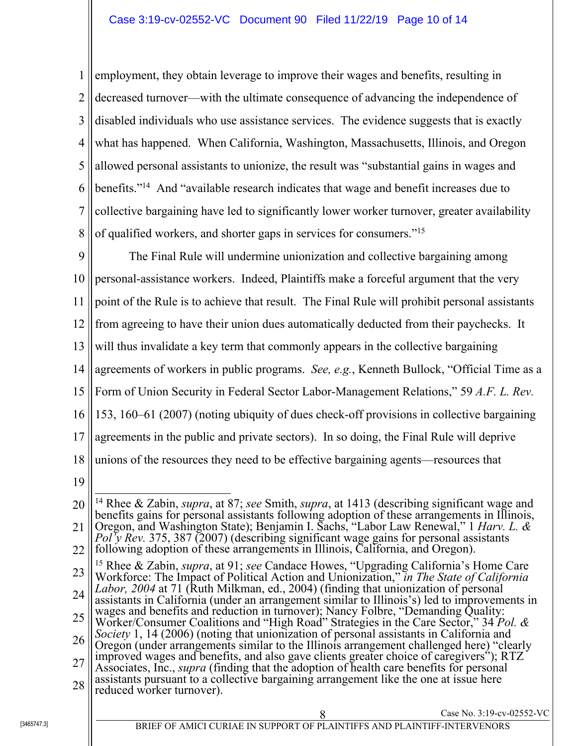1 2 3 4 5 6 7 8 employment, they obtain leverage to improve their wages and benefits, resulting in decreased turnover—with the ultimate consequence of advancing the independence of disabled individuals who use assistance services. The evidence suggests that is exactly what has happened. When California, Washington, Massachusetts, Illinois, and Oregon allowed personal assistants to unionize, the result was "substantial gains in wages and benefits."14 And "available research indicates that wage and benefit increases due to collective bargaining have led to significantly lower worker turnover, greater availability of qualified workers, and shorter gaps in services for consumers."15

 $\overline{Q}$ 10 11 12 13 14 15 16 17 18 19 The Final Rule will undermine unionization and collective bargaining among personal-assistance workers. Indeed, Plaintiffs make a forceful argument that the very point of the Rule is to achieve that result. The Final Rule will prohibit personal assistants from agreeing to have their union dues automatically deducted from their paychecks. It will thus invalidate a key term that commonly appears in the collective bargaining agreements of workers in public programs. *See, e.g.*, Kenneth Bullock, "Official Time as a Form of Union Security in Federal Sector Labor-Management Relations," 59 *A.F. L. Rev.* 153, 160–61 (2007) (noting ubiquity of dues check-off provisions in collective bargaining agreements in the public and private sectors). In so doing, the Final Rule will deprive unions of the resources they need to be effective bargaining agents—resources that

<sup>20</sup> 21 22 23 24 25 26 27 28 [3465747.3] <sup>8</sup> Case No. 3:19-cv-02552-VC BRIEF OF AMICI CURIAE IN SUPPORT OF PLAINTIFFS AND PLAINTIFF-INTERVENORS  $\overline{\phantom{a}}$ 14 Rhee & Zabin, *supra*, at 87; *see* Smith, *supra*, at 1413 (describing significant wage and benefits gains for personal assistants following adoption of these arrangements in Illinois, Oregon, and Washington State); Benjamin I. Sachs, "Labor Law Renewal," 1 *Harv. L. & Pol'y Rev.* 375, 387 (2007) (describing significant wage gains for personal assistants following adoption of these arrangements in Illinois, California, and Oregon). 15 Rhee & Zabin, *supra*, at 91; *see* Candace Howes, "Upgrading California's Home Care Workforce: The Impact of Political Action and Unionization," *in The State of California Labor, 2004* at 71 (Ruth Milkman, ed., 2004) (finding that unionization of personal assistants in California (under an arrangement similar to Illinois's) led to improvements in wages and benefits and reduction in turnover); Nancy Folbre, "Demanding Quality: Worker/Consumer Coalitions and "High Road" Strategies in the Care Sector," 34 *Pol. & Society* 1, 14 (2006) (noting that unionization of personal assistants in California and Oregon (under arrangements similar to the Illinois arrangement challenged here) "clearly improved wages and benefits, and also gave clients greater choice of caregivers"); RTZ Associates, Inc., *supra* (finding that the adoption of health care benefits for personal assistants pursuant to a collective bargaining arrangement like the one at issue here reduced worker turnover).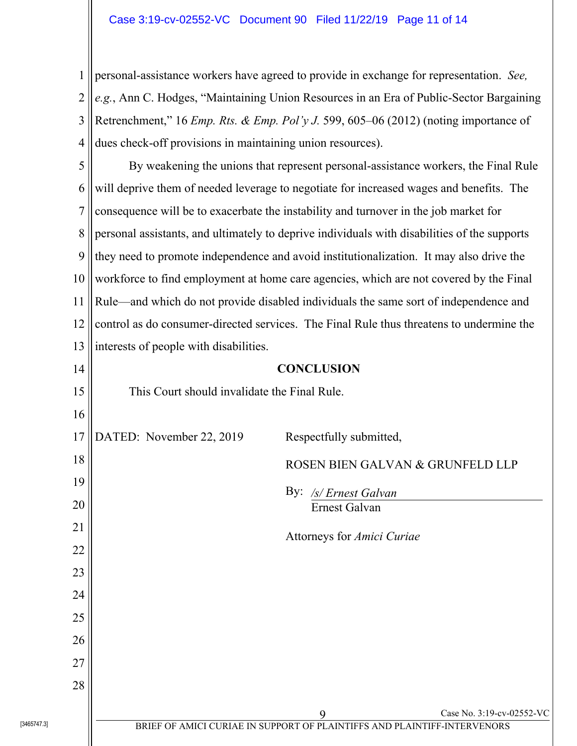1 2 3 4 personal-assistance workers have agreed to provide in exchange for representation. *See, e.g.*, Ann C. Hodges, "Maintaining Union Resources in an Era of Public-Sector Bargaining Retrenchment," 16 *Emp. Rts. & Emp. Pol'y J.* 599, 605–06 (2012) (noting importance of dues check-off provisions in maintaining union resources).

5 6 7 8 9 10 11 12 13 By weakening the unions that represent personal-assistance workers, the Final Rule will deprive them of needed leverage to negotiate for increased wages and benefits. The consequence will be to exacerbate the instability and turnover in the job market for personal assistants, and ultimately to deprive individuals with disabilities of the supports they need to promote independence and avoid institutionalization. It may also drive the workforce to find employment at home care agencies, which are not covered by the Final Rule—and which do not provide disabled individuals the same sort of independence and control as do consumer-directed services. The Final Rule thus threatens to undermine the interests of people with disabilities.

| 14         | <b>CONCLUSION</b>                            |                                                                          |                           |
|------------|----------------------------------------------|--------------------------------------------------------------------------|---------------------------|
| 15         | This Court should invalidate the Final Rule. |                                                                          |                           |
| 16         |                                              |                                                                          |                           |
| 17         | DATED: November 22, 2019                     | Respectfully submitted,                                                  |                           |
| 18         |                                              | ROSEN BIEN GALVAN & GRUNFELD LLP                                         |                           |
| 19         |                                              | $\gamma$ :<br>/s/ Ernest Galvan                                          |                           |
| 20         |                                              | Ernest Galvan                                                            |                           |
| 21         |                                              | Attorneys for Amici Curiae                                               |                           |
| 22         |                                              |                                                                          |                           |
| 23         |                                              |                                                                          |                           |
| 24         |                                              |                                                                          |                           |
| 25         |                                              |                                                                          |                           |
| 26         |                                              |                                                                          |                           |
| 27         |                                              |                                                                          |                           |
| 28         |                                              |                                                                          |                           |
|            |                                              | 9                                                                        | Case No. 3:19-cv-02552-VC |
| 3465747.31 |                                              | BRIEF OF AMICI CURIAE IN SUPPORT OF PLAINTIFFS AND PLAINTIFF-INTERVENORS |                           |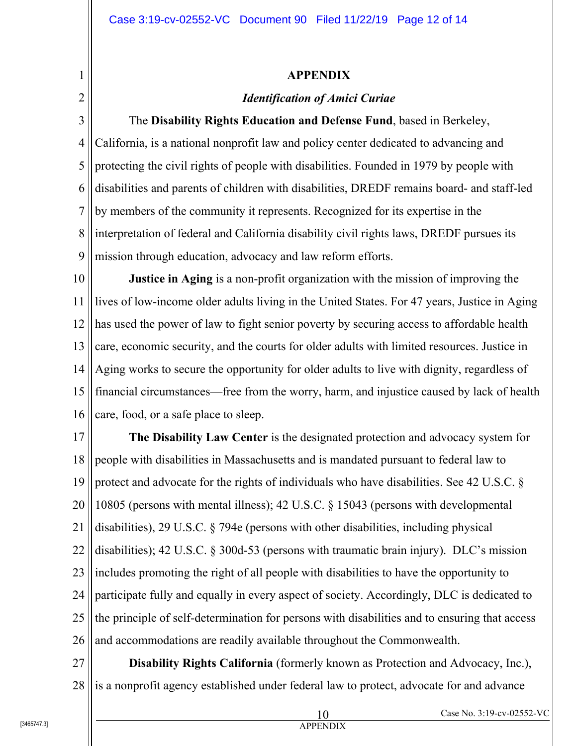### **APPENDIX**

## *Identification of Amici Curiae*

3 4 5 6 7 8 9 The **Disability Rights Education and Defense Fund**, based in Berkeley, California, is a national nonprofit law and policy center dedicated to advancing and protecting the civil rights of people with disabilities. Founded in 1979 by people with disabilities and parents of children with disabilities, DREDF remains board- and staff-led by members of the community it represents. Recognized for its expertise in the interpretation of federal and California disability civil rights laws, DREDF pursues its mission through education, advocacy and law reform efforts.

10 11 12 13 14 15 16 **Justice in Aging** is a non-profit organization with the mission of improving the lives of low-income older adults living in the United States. For 47 years, Justice in Aging has used the power of law to fight senior poverty by securing access to affordable health care, economic security, and the courts for older adults with limited resources. Justice in Aging works to secure the opportunity for older adults to live with dignity, regardless of financial circumstances—free from the worry, harm, and injustice caused by lack of health care, food, or a safe place to sleep.

17 18 19 20 21 22 23 24 25 26 **The Disability Law Center** is the designated protection and advocacy system for people with disabilities in Massachusetts and is mandated pursuant to federal law to protect and advocate for the rights of individuals who have disabilities. See 42 U.S.C. § 10805 (persons with mental illness); 42 U.S.C. § 15043 (persons with developmental disabilities), 29 U.S.C. § 794e (persons with other disabilities, including physical disabilities); 42 U.S.C. § 300d-53 (persons with traumatic brain injury). DLC's mission includes promoting the right of all people with disabilities to have the opportunity to participate fully and equally in every aspect of society. Accordingly, DLC is dedicated to the principle of self-determination for persons with disabilities and to ensuring that access and accommodations are readily available throughout the Commonwealth.

27 28 **Disability Rights California** (formerly known as Protection and Advocacy, Inc.), is a nonprofit agency established under federal law to protect, advocate for and advance

1

2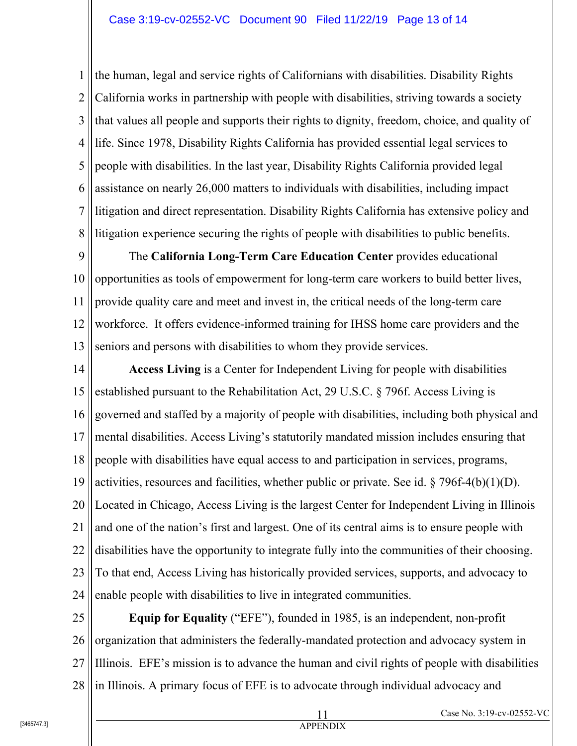1 2 3 4 5 6 7 8 the human, legal and service rights of Californians with disabilities. Disability Rights California works in partnership with people with disabilities, striving towards a society that values all people and supports their rights to dignity, freedom, choice, and quality of life. Since 1978, Disability Rights California has provided essential legal services to people with disabilities. In the last year, Disability Rights California provided legal assistance on nearly 26,000 matters to individuals with disabilities, including impact litigation and direct representation. Disability Rights California has extensive policy and litigation experience securing the rights of people with disabilities to public benefits.

9 10 11 12 13 The **California Long-Term Care Education Center** provides educational opportunities as tools of empowerment for long-term care workers to build better lives, provide quality care and meet and invest in, the critical needs of the long-term care workforce. It offers evidence-informed training for IHSS home care providers and the seniors and persons with disabilities to whom they provide services.

14 15 16 17 18 19 20 21 22 23 24 **Access Living** is a Center for Independent Living for people with disabilities established pursuant to the Rehabilitation Act, 29 U.S.C. § 796f. Access Living is governed and staffed by a majority of people with disabilities, including both physical and mental disabilities. Access Living's statutorily mandated mission includes ensuring that people with disabilities have equal access to and participation in services, programs, activities, resources and facilities, whether public or private. See id.  $\S 796f-4(b)(1)(D)$ . Located in Chicago, Access Living is the largest Center for Independent Living in Illinois and one of the nation's first and largest. One of its central aims is to ensure people with disabilities have the opportunity to integrate fully into the communities of their choosing. To that end, Access Living has historically provided services, supports, and advocacy to enable people with disabilities to live in integrated communities.

25 26 27 28 **Equip for Equality** ("EFE"), founded in 1985, is an independent, non-profit organization that administers the federally-mandated protection and advocacy system in Illinois. EFE's mission is to advance the human and civil rights of people with disabilities in Illinois. A primary focus of EFE is to advocate through individual advocacy and